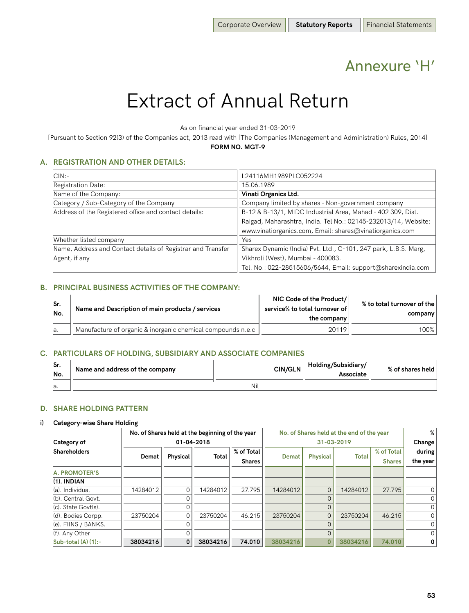## Annexure 'H'

# Extract of Annual Return

As on financial year ended 31-03-2019

[Pursuant to Section 92(3) of the Companies act, 2013 read with [The Companies (Management and Administration) Rules, 2014] **FORM NO. MGT-9**

## **A. REGISTRATION AND OTHER DETAILS:**

| CIN:                                                        | L24116MH1989PLC052224                                           |
|-------------------------------------------------------------|-----------------------------------------------------------------|
|                                                             |                                                                 |
| <b>Registration Date:</b>                                   | 15.06.1989                                                      |
| Name of the Company:                                        | Vinati Organics Ltd.                                            |
| Category / Sub-Category of the Company                      | Company limited by shares - Non-government company              |
| Address of the Registered office and contact details:       | B-12 & B-13/1, MIDC Industrial Area, Mahad - 402 309, Dist.     |
|                                                             | Raigad, Maharashtra, India. Tel No.: 02145-232013/14, Website:  |
|                                                             | www.vinatiorganics.com, Email: shares@vinatiorganics.com        |
| Whether listed company                                      | Yes                                                             |
| Name, Address and Contact details of Registrar and Transfer | Sharex Dynamic (India) Pvt. Ltd., C-101, 247 park, L.B.S. Marg, |
| Agent, if any                                               | Vikhroli (West), Mumbai - 400083.                               |
|                                                             | Tel. No.: 022-28515606/5644, Email: support@sharexindia.com     |

### **B. PRINCIPAL BUSINESS ACTIVITIES OF THE COMPANY:**

| Sr.<br>No. | Name and Description of main products / services            | NIC Code of the Product/<br>service% to total turnover of<br>the company | % to total turnover of the<br>company |
|------------|-------------------------------------------------------------|--------------------------------------------------------------------------|---------------------------------------|
|            | Manufacture of organic & inorganic chemical compounds n.e.c | 20119                                                                    | 100%                                  |

#### **C. PARTICULARS OF HOLDING, SUBSIDIARY AND ASSOCIATE COMPANIES**

| Sr.<br>No. | Name and address of the company | <b>CIN/GLN</b> | Holding/Subsidiary/<br>Associate | % of shares held |
|------------|---------------------------------|----------------|----------------------------------|------------------|
| a.         |                                 | Nil            |                                  |                  |

#### **D. SHARE HOLDING PATTERN**

#### **i) Category-wise Share Holding**

|                          | No. of Shares held at the beginning of the year |              |              |               | No. of Shares held at the end of the year |                 | %            |               |          |
|--------------------------|-------------------------------------------------|--------------|--------------|---------------|-------------------------------------------|-----------------|--------------|---------------|----------|
| Category of              | 01-04-2018                                      |              |              |               | 31-03-2019                                |                 |              |               | Change   |
| <b>Shareholders</b>      |                                                 |              | <b>Total</b> | % of Total    |                                           |                 | <b>Total</b> | % of Total    | during   |
|                          | Demat                                           | Physical     |              | <b>Shares</b> | Demat                                     | <b>Physical</b> |              | <b>Shares</b> | the year |
| <b>A. PROMOTER'S</b>     |                                                 |              |              |               |                                           |                 |              |               |          |
| $(1)$ . INDIAN           |                                                 |              |              |               |                                           |                 |              |               |          |
| (a), Individual          | 14284012                                        | $\Omega$     | 14284012     | 27.795        | 14284012                                  | $\Omega$        | 14284012     | 27.795        | $\Omega$ |
| (b). Central Govt.       |                                                 | $\Omega$     |              |               |                                           |                 |              |               | 0        |
| (c). State Govt(s).      |                                                 | 0            |              |               |                                           | 0               |              |               | 0        |
| (d). Bodies Corpp.       | 23750204                                        | 0            | 23750204     | 46.215        | 23750204                                  | $\Omega$        | 23750204     | 46.215        | 0        |
| (e). FIINS / BANKS.      |                                                 | Ω            |              |               |                                           |                 |              |               | 0        |
| (f). Any Other           |                                                 | $\Omega$     |              |               |                                           | $\Omega$        |              |               | $\Omega$ |
| Sub-total $(A)$ $(1)$ :- | 38034216                                        | $\mathbf{0}$ | 38034216     | 74.010        | 38034216                                  |                 | 38034216     | 74.010        | 0        |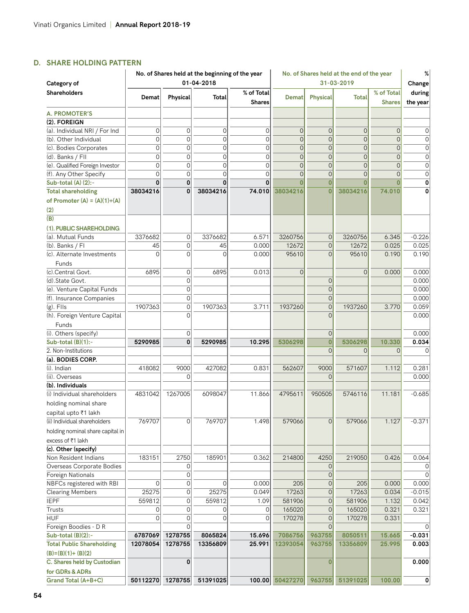## **D. SHARE HOLDING PATTERN**

|                                                             | No. of Shares held at the beginning of the year<br>01-04-2018 |                |                |                             | No. of Shares held at the end of the year |                 |                 | %                           |                    |
|-------------------------------------------------------------|---------------------------------------------------------------|----------------|----------------|-----------------------------|-------------------------------------------|-----------------|-----------------|-----------------------------|--------------------|
| Category of                                                 |                                                               |                |                |                             |                                           |                 | 31-03-2019      |                             | Change             |
| Shareholders                                                | Demat                                                         | Physical       | Total          | % of Total<br><b>Shares</b> | Demat                                     | <b>Physical</b> | <b>Total</b>    | % of Total<br><b>Shares</b> | during<br>the year |
| <b>A. PROMOTER'S</b>                                        |                                                               |                |                |                             |                                           |                 |                 |                             |                    |
| (2). FOREIGN                                                |                                                               |                |                |                             |                                           |                 |                 |                             |                    |
| (a). Individual NRI / For Ind                               | 0                                                             | $\mathbf 0$    | 0              | 0                           | $\Omega$                                  | 0               | 0               | $\overline{0}$              | 0                  |
| (b). Other Individual                                       | $\overline{O}$                                                | $\mathbf 0$    | $\overline{O}$ | $\overline{O}$              | $\Omega$                                  | $\Omega$        | $\Omega$        | $\overline{O}$              | $\mathbf 0$        |
| (c). Bodies Corporates                                      | $\mathbf 0$                                                   | $\mathbf 0$    | $\overline{O}$ | 0                           | $\mathbf{0}$                              | $\overline{0}$  | 0               | $\overline{0}$              | 0                  |
| (d). Banks / FII                                            | $\overline{0}$                                                | $\overline{0}$ | $\overline{O}$ | $\Omega$                    | $\Omega$                                  | $\Omega$        | $\Omega$        | $\overline{O}$              | $\mathbf 0$        |
| (e). Qualified Foreign Investor                             | $\overline{O}$                                                | $\mathbf 0$    | $\overline{O}$ | $\overline{O}$              | $\Omega$                                  | $\Omega$        | $\Omega$        | $\overline{O}$              | $\overline{0}$     |
|                                                             | $\overline{O}$                                                | $\Omega$       | $\Omega$       | $\Omega$                    | $\Omega$                                  | $\Omega$        | $\overline{O}$  | $\Omega$                    | $\mathbf 0$        |
| (f). Any Other Specify                                      | 0                                                             | $\mathbf 0$    | 0              | $\Omega$                    |                                           | 0               | 0               | $\Omega$                    |                    |
| Sub-total (A) (2):-                                         |                                                               | 0              | 38034216       | 74.010                      | 38034216                                  | $\overline{0}$  | 38034216        | 74.010                      | 0                  |
| <b>Total shareholding</b><br>of Promoter $(A) = (A)(1)+(A)$ | 38034216                                                      |                |                |                             |                                           |                 |                 |                             |                    |
| (2)                                                         |                                                               |                |                |                             |                                           |                 |                 |                             |                    |
| (B)                                                         |                                                               |                |                |                             |                                           |                 |                 |                             |                    |
| (1). PUBLIC SHAREHOLDING                                    |                                                               |                |                |                             |                                           |                 |                 |                             |                    |
| (a). Mutual Funds                                           | 3376682                                                       | 0              | 3376682        | 6.571                       | 3260756                                   | $\overline{0}$  | 3260756         | 6.345                       | $-0.226$           |
| (b). Banks / FI                                             | 45                                                            | $\overline{0}$ | 45             | 0.000                       | 12672                                     | $\Omega$        | 12672           | 0.025                       | 0.025              |
| (c). Alternate Investments<br>Funds                         | $\Omega$                                                      | $\overline{O}$ | $\Omega$       | 0.000                       | 95610                                     | $\Omega$        | 95610           | 0.190                       | 0.190              |
| (c).Central Govt.                                           | 6895                                                          | $\mathbf 0$    | 6895           | 0.013                       | $\Omega$                                  |                 | 0               | 0.000                       | 0.000              |
| (d).State Govt.                                             |                                                               | $\mathbf 0$    |                |                             |                                           | $\overline{0}$  |                 |                             | 0.000              |
| (e). Venture Capital Funds                                  |                                                               | 0              |                |                             |                                           | $\overline{0}$  |                 |                             | 0.000              |
| (f). Insurance Companies                                    |                                                               | $\overline{0}$ |                |                             |                                           | 0               |                 |                             | 0.000              |
| $(g)$ . Flls                                                | 1907363                                                       | $\overline{0}$ | 1907363        | 3.711                       | 1937260                                   | $\Omega$        | 1937260         | 3.770                       | 0.059              |
| (h). Foreign Venture Capital                                |                                                               | $\Omega$       |                |                             |                                           |                 |                 |                             | 0.000              |
| Funds                                                       |                                                               |                |                |                             |                                           |                 |                 |                             |                    |
| (i). Others (specify)                                       |                                                               | 0              |                |                             |                                           | 0               |                 |                             | 0.000              |
| Sub-total (B)(1):-                                          | 5290985                                                       | $\mathbf 0$    | 5290985        | 10.295                      | 5306298                                   | $\overline{0}$  | 5306298         | 10.330                      | 0.034              |
| 2. Non-Institutions                                         |                                                               |                |                |                             |                                           | $\Omega$        | 0               | $\Omega$                    |                    |
| (a). BODIES CORP.                                           |                                                               |                |                |                             |                                           |                 |                 |                             |                    |
| (i). Indian                                                 | 418082                                                        | 9000           | 427082         | 0.831                       | 562607                                    | 9000            | 571607          | 1.112                       | 0.281              |
| (ii). Overseas                                              |                                                               | 0              |                |                             |                                           | $\Omega$        |                 |                             | 0.000              |
| (b). Individuals                                            |                                                               |                |                |                             |                                           |                 |                 |                             |                    |
| (i) Individual shareholders                                 | 4831042                                                       | 1267005        | 6098047        | 11.866                      | 4795611                                   | 950505          | 5746116         | 11.181                      | $-0.685$           |
|                                                             |                                                               |                |                |                             |                                           |                 |                 |                             |                    |
| holding nominal share                                       |                                                               |                |                |                             |                                           |                 |                 |                             |                    |
| capital upto ₹1 lakh                                        |                                                               |                |                |                             |                                           |                 |                 |                             |                    |
| (ii) Individual shareholders                                | 769707                                                        | $\mathbf 0$    | 769707         | 1.498                       | 579066                                    | $\overline{0}$  | 579066          | 1.127                       | $-0.371$           |
| holding nominal share capital in                            |                                                               |                |                |                             |                                           |                 |                 |                             |                    |
| excess of ₹1 lakh                                           |                                                               |                |                |                             |                                           |                 |                 |                             |                    |
| (c). Other (specify)                                        |                                                               |                |                |                             |                                           |                 |                 |                             |                    |
| Non Resident Indians                                        | 183151                                                        | 2750           | 185901         | 0.362                       | 214800                                    | 4250            | 219050          | 0.426                       | 0.064              |
| Overseas Corporate Bodies                                   |                                                               | 0              |                |                             |                                           | 0               |                 |                             |                    |
| Foreign Nationals                                           |                                                               | 0              |                |                             |                                           | 0               |                 |                             | 0                  |
| NBFCs registered with RBI                                   | 0                                                             | 0              | 0              | 0.000                       | 205                                       | 0               | 205             | 0.000                       | 0.000              |
| <b>Clearing Members</b>                                     | 25275                                                         | 0              | 25275          | 0.049                       | 17263                                     | 0               | 17263           | 0.034                       | $-0.015$           |
| <b>IEPF</b>                                                 | 559812                                                        | 0              | 559812         | 1.09                        | 581906                                    | 0               | 581906          | 1.132                       | 0.042              |
| Trusts                                                      | 0                                                             | $\mathbf 0$    | 0              | 0                           | 165020                                    | $\Omega$        | 165020          | 0.321                       | 0.321              |
| <b>HUF</b>                                                  | 0                                                             | 0              | 0              | 0                           | 170278                                    | 0               | 170278          | 0.331                       |                    |
| Foreign Boodies - D R                                       |                                                               |                |                |                             |                                           | 0               |                 |                             |                    |
| Sub-total $(B)(2)$ :-                                       | 6787069                                                       | 1278755        | 8065824        | 15.696                      | 7086756                                   | 963755          | 8050511         | 15.665                      | $-0.031$           |
| <b>Total Public Shareholding</b>                            | 12078054                                                      | 1278755        | 13356809       | 25.991                      | 12393054                                  | 963755          | 13356809        | 25.995                      | 0.003              |
|                                                             |                                                               |                |                |                             |                                           |                 |                 |                             |                    |
| $(B)=(B)(1)+(B)(2)$                                         |                                                               | 0              |                |                             |                                           | $\mathbf{0}$    |                 |                             |                    |
| C. Shares held by Custodian                                 |                                                               |                |                |                             |                                           |                 |                 |                             | 0.000              |
| for GDRs & ADRs                                             |                                                               |                |                |                             |                                           |                 |                 |                             |                    |
| Grand Total (A+B+C)                                         | 50112270 1278755                                              |                | 51391025       |                             | 100.00 50427270                           |                 | 963755 51391025 | 100.00                      | 0                  |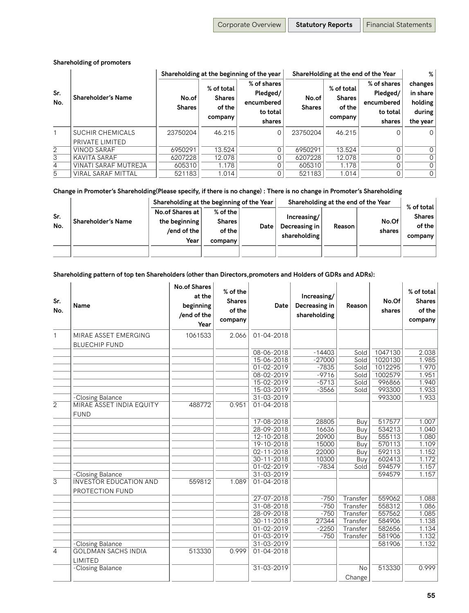#### **Shareholding of promoters**

|                |                                     |                        |                                                  | Shareholding at the beginning of the year                   | ShareHolding at the end of the Year | ℅                                                |                                                             |                                                      |
|----------------|-------------------------------------|------------------------|--------------------------------------------------|-------------------------------------------------------------|-------------------------------------|--------------------------------------------------|-------------------------------------------------------------|------------------------------------------------------|
| Sr.<br>No.     | <b>Shareholder's Name</b>           | No.of<br><b>Shares</b> | % of total<br><b>Shares</b><br>of the<br>company | % of shares<br>Pledged/<br>encumbered<br>to total<br>shares | No.of<br><b>Shares</b>              | % of total<br><b>Shares</b><br>of the<br>company | % of shares<br>Pledged/<br>encumbered<br>to total<br>shares | changes<br>in share<br>holding<br>during<br>the year |
|                | SUCHIR CHEMICALS<br>PRIVATE LIMITED | 23750204               | 46.215                                           | $\Omega$                                                    | 23750204                            | 46.215                                           |                                                             | $\Omega$                                             |
| $\overline{2}$ | <b>VINOD SARAF</b>                  | 6950291                | 13.524                                           | 0                                                           | 6950291                             | 13.524                                           |                                                             | $\Omega$                                             |
| 3              | KAVITA SARAF                        | 6207228                | 12.078                                           |                                                             | 6207228                             | 12.078                                           |                                                             | 0                                                    |
| 4              | VINATI SARAF MUTREJA                | 605310                 | 1.178                                            | 0                                                           | 605310                              | 1.178                                            |                                                             | 0                                                    |
| 5              | VIRAL SARAF MITTAL                  | 521183                 | 1.014                                            |                                                             | 521183                              | 1.014                                            |                                                             | 0                                                    |

## **Change in Promoter's Shareholding(Please specify, if there is no change) : There is no change in Promoter's Shareholding**

|            |                               | Shareholding at the beginning of the Year                         |                                                  |      | Shareholding at the end of the Year          | % of total |                 |                                    |
|------------|-------------------------------|-------------------------------------------------------------------|--------------------------------------------------|------|----------------------------------------------|------------|-----------------|------------------------------------|
| Sr.<br>No. | $^\dagger$ Shareholder's Name | No.of Shares at I<br>the beginning<br>/end of the $\vert$<br>Year | $%$ of the<br><b>Shares</b><br>of the<br>company | Date | Increasing/<br>Decreasing in<br>shareholding | Reason     | No.Of<br>shares | <b>Shares</b><br>of the<br>company |
|            |                               |                                                                   |                                                  |      |                                              |            |                 |                                    |

 $\mathbf{r}$ 

 $\mathbf{r}$ 

#### **Shareholding pattern of top ten Shareholders (other than Directors,promoters and Holders of GDRs and ADRs):**  $\mathbf{r}$

 $\mathbf{r}$ 

| Sr.<br>No.     | Name                                             | <b>No.of Shares</b><br>at the<br>beginning<br>/end of the<br>Year | % of the<br><b>Shares</b><br>of the<br>company | Date             | Increasing/<br>Decreasing in<br>shareholding | Reason              | No.Of<br>shares     | % of total<br><b>Shares</b><br>of the<br>company |
|----------------|--------------------------------------------------|-------------------------------------------------------------------|------------------------------------------------|------------------|----------------------------------------------|---------------------|---------------------|--------------------------------------------------|
| $\mathbf{1}$   | MIRAE ASSET EMERGING<br><b>BLUECHIP FUND</b>     | 1061533                                                           | 2.066                                          | $01 - 04 - 2018$ |                                              |                     |                     |                                                  |
|                |                                                  |                                                                   |                                                | 08-06-2018       | $-14403$                                     | Sold                | 1047130             | 2.038                                            |
|                |                                                  |                                                                   |                                                | 15-06-2018       | $-27000$                                     | Sold                | 1020130             | 1.985                                            |
|                |                                                  |                                                                   |                                                | 01-02-2019       | $-7835$                                      | Sold                | 1012295             | 1.970                                            |
|                |                                                  |                                                                   |                                                | 08-02-2019       | $-9716$                                      | Sold                | 1002579             | 1.951                                            |
|                |                                                  |                                                                   |                                                | 15-02-2019       | $-5713$                                      | Sold                | 996866              | 1.940                                            |
|                |                                                  |                                                                   |                                                | 15-03-2019       | $-3566$                                      | Sold                | 993300              | 1.933                                            |
|                | -Closing Balance                                 |                                                                   |                                                | 31-03-2019       |                                              |                     | 993300              | 1.933                                            |
| $\overline{2}$ | <b>MIRAE ASSET INDIA EQUITY</b><br><b>FUND</b>   | 488772                                                            | 0.951                                          | 01-04-2018       |                                              |                     |                     |                                                  |
|                |                                                  |                                                                   |                                                | 17-08-2018       | 28805                                        | Buy                 | 517577              | 1.007                                            |
|                |                                                  |                                                                   |                                                | 28-09-2018       | 16636                                        | Buy                 | $\overline{534213}$ | 1.040                                            |
|                |                                                  |                                                                   |                                                | 12-10-2018       | 20900                                        | Buy                 | 555113              | 1.080                                            |
|                |                                                  |                                                                   |                                                | 19-10-2018       | 15000                                        | Buy                 | 570113              | 1.109                                            |
|                |                                                  |                                                                   |                                                | 02-11-2018       | 22000                                        | Buy                 | 592113              | 1.152                                            |
|                |                                                  |                                                                   |                                                | 30-11-2018       | 10300                                        | $\overline{B}$ uy   | 602413              | 1.172                                            |
|                |                                                  |                                                                   |                                                | 01-02-2019       | $-7834$                                      | Sold                | 594579              | 1.157                                            |
|                | -Closing Balance                                 |                                                                   |                                                | 31-03-2019       |                                              |                     | 594579              | 1.157                                            |
| 3              | <b>INVESTOR EDUCATION AND</b><br>PROTECTION FUND | 559812                                                            | 1.089                                          | 01-04-2018       |                                              |                     |                     |                                                  |
|                |                                                  |                                                                   |                                                | 27-07-2018       | $-750$                                       | Transfer            | 559062              | 1.088                                            |
|                |                                                  |                                                                   |                                                | 31-08-2018       | $-750$                                       | Transfer            | 558312              | 1.086                                            |
|                |                                                  |                                                                   |                                                | 28-09-2018       | $-750$                                       | Transfer            | 557562              | 1.085                                            |
|                |                                                  |                                                                   |                                                | 30-11-2018       | 27344                                        | Transfer            | 584906              | 1.138                                            |
|                |                                                  |                                                                   |                                                | 01-02-2019       | $-2250$                                      | Transfer            | 582656              | 1.134                                            |
|                |                                                  |                                                                   |                                                | 01-03-2019       | $-750$                                       | Transfer            | 581906              | 1.132                                            |
|                | -Closing Balance                                 |                                                                   |                                                | 31-03-2019       |                                              |                     | 581906              | 1.132                                            |
| $\overline{4}$ | <b>GOLDMAN SACHS INDIA</b><br>LIMITED            | 513330                                                            | 0.999                                          | 01-04-2018       |                                              |                     |                     |                                                  |
|                | -Closing Balance                                 |                                                                   |                                                | 31-03-2019       |                                              | <b>No</b><br>Change | 513330              | 0.999                                            |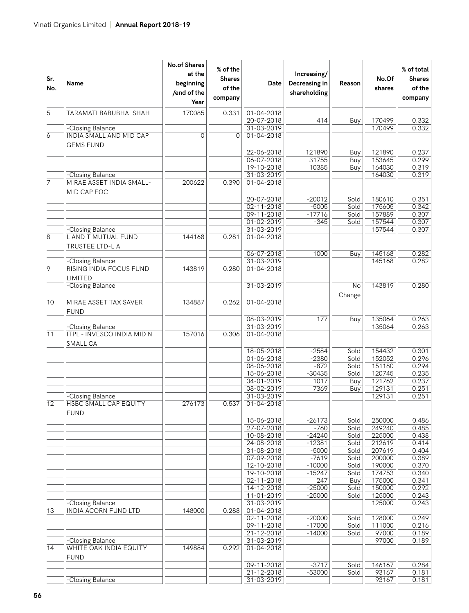| Sr.<br>No.      | Name                                                        | <b>No.of Shares</b><br>at the<br>beginning<br>/end of the<br>Year | % of the<br><b>Shares</b><br>of the<br>company | Date                           | Increasing/<br>Decreasing in<br>shareholding | Reason       | No.Of<br>shares  | % of total<br><b>Shares</b><br>of the<br>company |
|-----------------|-------------------------------------------------------------|-------------------------------------------------------------------|------------------------------------------------|--------------------------------|----------------------------------------------|--------------|------------------|--------------------------------------------------|
| 5               | TARAMATI BABUBHAI SHAH                                      | 170085                                                            | 0.331                                          | 01-04-2018                     |                                              |              |                  |                                                  |
|                 |                                                             |                                                                   |                                                | $20 - 07 - 2018$               | 414                                          | Buy          | 170499           | 0.332                                            |
|                 | -Closing Balance                                            |                                                                   |                                                | 31-03-2019                     |                                              |              | 170499           | 0.332                                            |
| 6               | INDIA SMALL AND MID CAP<br><b>GEMS FUND</b>                 | 0                                                                 | $\overline{O}$                                 | 01-04-2018                     |                                              |              |                  |                                                  |
|                 |                                                             |                                                                   |                                                | 22-06-2018                     | 121890                                       | Buy          | 121890           | 0.237                                            |
|                 |                                                             |                                                                   |                                                | 06-07-2018                     | 31755                                        | Buy          | 153645           | 0.299                                            |
|                 |                                                             |                                                                   |                                                | 19-10-2018                     | 10385                                        | Buy          | 164030           | 0.319                                            |
| 7               | -Closing Balance<br>MIRAE ASSET INDIA SMALL-<br>MID CAP FOC | 200622                                                            | 0.390                                          | 31-03-2019<br>01-04-2018       |                                              |              | 164030           | 0.319                                            |
|                 |                                                             |                                                                   |                                                | 20-07-2018                     | $-20012$                                     | Sold         | 180610           | 0.351                                            |
|                 |                                                             |                                                                   |                                                | $02 - 11 - 2018$               | $-5005$                                      | Sold         | 175605           | 0.342                                            |
|                 |                                                             |                                                                   |                                                | 09-11-2018                     | $-17716$                                     | Sold         | 157889<br>157544 | 0.307                                            |
|                 | -Closing Balance                                            |                                                                   |                                                | 01-02-2019<br>31-03-2019       | $-345$                                       | Sold         | 157544           | 0.307<br>0.307                                   |
| 8               | L AND T MUTUAL FUND<br>TRUSTEE LTD-L A                      | 144168                                                            | 0.281                                          | $01 - 04 - 2018$               |                                              |              |                  |                                                  |
|                 |                                                             |                                                                   |                                                | 06-07-2018                     | 1000                                         | Buy          | 145168           | 0.282                                            |
|                 | -Closing Balance                                            |                                                                   |                                                | 31-03-2019                     |                                              |              | 145168           | 0.282                                            |
| $\overline{9}$  | RISING INDIA FOCUS FUND<br>LIMITED                          | 143819                                                            | 0.280                                          | $01 - 04 - 2018$               |                                              |              |                  |                                                  |
|                 | -Closing Balance                                            |                                                                   |                                                | 31-03-2019                     |                                              | No<br>Change | 143819           | 0.280                                            |
| $\overline{10}$ | MIRAE ASSET TAX SAVER<br><b>FUND</b>                        | 134887                                                            | 0.262                                          | 01-04-2018                     |                                              |              |                  |                                                  |
|                 |                                                             |                                                                   |                                                | 08-03-2019                     | 177                                          | Buy          | 135064           | 0.263                                            |
| $\overline{11}$ | -Closing Balance<br>ITPL - INVESCO INDIA MID N<br>SMALL CA  | 157016                                                            | 0.306                                          | 31-03-2019<br>01-04-2018       |                                              |              | 135064           | 0.263                                            |
|                 |                                                             |                                                                   |                                                | 18-05-2018                     | $-2584$                                      | Sold         | 154432           | 0.301                                            |
|                 |                                                             |                                                                   |                                                | $01 - 06 - 2018$               | $-2380$                                      | Sold         | 152052           | 0.296                                            |
|                 |                                                             |                                                                   |                                                | 08-06-2018                     | $-872$                                       | Sold         | 151180           | 0.294                                            |
|                 |                                                             |                                                                   |                                                | 15-06-2018                     | $-30435$                                     | Sold         | 120745           | 0.235                                            |
|                 |                                                             |                                                                   |                                                | 04-01-2019                     | 1017<br>7369                                 | Buy          | 121762<br>129131 | 0.237<br>0.251                                   |
|                 | -Closing Balance                                            |                                                                   |                                                | 08-02-2019<br>31-03-2019       |                                              | Buy          | 129131           | 0.251                                            |
| 12              | <b>HSBC SMALL CAP EQUITY</b><br><b>FUND</b>                 | 276173                                                            | 0.537                                          | 01-04-2018                     |                                              |              |                  |                                                  |
|                 |                                                             |                                                                   |                                                | 15-06-2018                     | $-26173$                                     | Sold         | 250000           | 0.486                                            |
|                 |                                                             |                                                                   |                                                | 27-07-2018                     | $-760$                                       | Sold         | 249240           | 0.485                                            |
|                 |                                                             |                                                                   |                                                | 10-08-2018<br>24-08-2018       | $-24240$<br>$-12381$                         | Sold<br>Sold | 225000<br>212619 | 0.438<br>0.414                                   |
|                 |                                                             |                                                                   |                                                | $31 - 08 - 2018$               | $-5000$                                      | Sold         | 207619           | 0.404                                            |
|                 |                                                             |                                                                   |                                                | 07-09-2018                     | $-7619$                                      | Sold         | 200000           | 0.389                                            |
|                 |                                                             |                                                                   |                                                | $12 - 10 - 2018$               | $-10000$                                     | Sold         | 190000           | 0.370                                            |
|                 |                                                             |                                                                   |                                                | 19-10-2018                     | $-15247$                                     | Sold         | 174753           | 0.340                                            |
|                 |                                                             |                                                                   |                                                | 02-11-2018                     | 247                                          | Buy          | 175000           | 0.341                                            |
|                 |                                                             |                                                                   |                                                | 14-12-2018                     | $-25000$                                     | Sold         | 150000           | 0.292                                            |
|                 |                                                             |                                                                   |                                                | 11-01-2019                     | $-25000$                                     | Sold         | 125000<br>125000 | 0.243                                            |
| $\overline{13}$ | -Closing Balance<br><b>INDIA ACORN FUND LTD</b>             | 148000                                                            | 0.288                                          | 31-03-2019<br>$01 - 04 - 2018$ |                                              |              |                  | 0.243                                            |
|                 |                                                             |                                                                   |                                                | 02-11-2018                     | $-20000$                                     | Sold         | 128000           | 0.249                                            |
|                 |                                                             |                                                                   |                                                | 09-11-2018                     | $-17000$                                     | Sold         | 111000           | 0.216                                            |
|                 |                                                             |                                                                   |                                                | 21-12-2018                     | $-14000$                                     | Sold         | 97000            | 0.189                                            |
|                 | -Closing Balance                                            |                                                                   |                                                | 31-03-2019                     |                                              |              | 97000            | 0.189                                            |
| 14              | WHITE OAK INDIA EQUITY<br><b>FUND</b>                       | 149884                                                            | 0.292                                          | $01 - 04 - 2018$               |                                              |              |                  |                                                  |
|                 |                                                             |                                                                   |                                                | 09-11-2018                     | $-3717$                                      | Sold         | 146167           | 0.284                                            |
|                 |                                                             |                                                                   |                                                | $21 - 12 - 2018$               | $-53000$                                     | Sold         | 93167            | 0.181                                            |
|                 | -Closing Balance                                            |                                                                   |                                                | 31-03-2019                     |                                              |              | 93167            | 0.181                                            |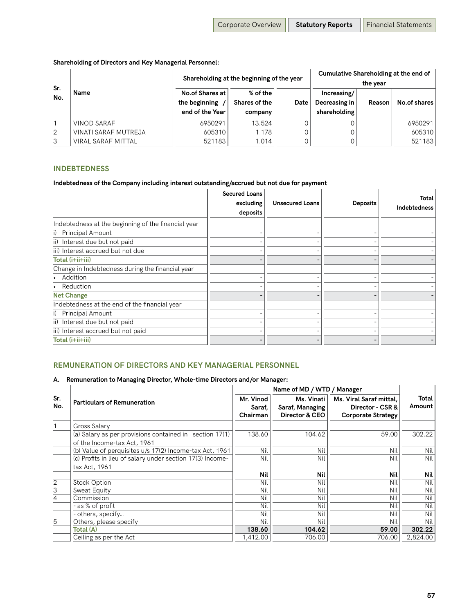## **Shareholding of Directors and Key Managerial Personnel:**

| Sr.            |                           | Shareholding at the beginning of the year | Cumulative Shareholding at the end of<br>the vear |      |                              |        |              |
|----------------|---------------------------|-------------------------------------------|---------------------------------------------------|------|------------------------------|--------|--------------|
| No.            | Name                      | <b>No.of Shares at</b><br>the beginning   | % of the<br>Shares of the                         | Date | Increasing/<br>Decreasing in | Reason | No.of shares |
|                |                           | end of the Year                           | company                                           |      | shareholding                 |        |              |
|                | <b>VINOD SARAF</b>        | 6950291                                   | 13.524                                            |      |                              |        | 6950291      |
| $\overline{2}$ | VINATI SARAF MUTREJA      | 605310                                    | 1.178                                             |      |                              |        | 605310       |
| 3              | <b>VIRAL SARAF MITTAL</b> | 521183                                    | 1.014                                             |      |                              |        | 521183       |

## **INDEBTEDNESS**

#### **Indebtedness of the Company including interest outstanding/accrued but not due for payment**

|                                                     | <b>Secured Loans</b><br>excluding<br>deposits | <b>Unsecured Loans</b> | <b>Deposits</b> | Total<br><b>Indebtedness</b> |
|-----------------------------------------------------|-----------------------------------------------|------------------------|-----------------|------------------------------|
| Indebtedness at the beginning of the financial year |                                               |                        |                 |                              |
| i) Principal Amount                                 |                                               |                        |                 |                              |
| ii) Interest due but not paid                       |                                               |                        |                 |                              |
| iii) Interest accrued but not due                   |                                               |                        |                 |                              |
| Total (i+ii+iii)                                    |                                               |                        |                 |                              |
| Change in Indebtedness during the financial year    |                                               |                        |                 |                              |
| • Addition                                          |                                               |                        |                 |                              |
| • Reduction                                         |                                               |                        |                 |                              |
| <b>Net Change</b>                                   |                                               |                        |                 |                              |
| Indebtedness at the end of the financial year       |                                               |                        |                 |                              |
| i) Principal Amount                                 |                                               |                        |                 |                              |
| ii) Interest due but not paid                       |                                               |                        |                 |                              |
| iii) Interest accrued but not paid                  |                                               |                        |                 |                              |
| Total (i+ii+iii)                                    |                                               |                        |                 |                              |

## **REMUNERATION OF DIRECTORS AND KEY MANAGERIAL PERSONNEL**

#### **A. Remuneration to Managing Director, Whole-time Directors and/or Manager:**

|                |                                                           | Name of MD / WTD / Manager |                 |                           |          |  |
|----------------|-----------------------------------------------------------|----------------------------|-----------------|---------------------------|----------|--|
| Sr.            | <b>Particulars of Remuneration</b>                        | Mr. Vinod                  | Ms. Vinati      | Ms. Viral Saraf mittal.   | Total    |  |
| No.            |                                                           | Saraf,                     | Saraf, Managing | Director - CSR &          | Amount   |  |
|                |                                                           | Chairman                   | Director & CEO  | <b>Corporate Strategy</b> |          |  |
|                | Gross Salary                                              |                            |                 |                           |          |  |
|                | (a) Salary as per provisions contained in section 17(1)   | 138.60                     | 104.62          | 59.00                     | 302.22   |  |
|                | of the Income-tax Act, 1961                               |                            |                 |                           |          |  |
|                | (b) Value of perquisites u/s 17(2) Income-tax Act, 1961   | Nil                        | Nil             | Nil                       | Nil      |  |
|                | (c) Profits in lieu of salary under section 17(3) Income- | Nil                        | Nil             | Nil                       | Nil l    |  |
|                | tax Act, 1961                                             |                            |                 |                           |          |  |
|                |                                                           | Nil                        | Nil             | Nil                       | Nil      |  |
| $\overline{2}$ | <b>Stock Option</b>                                       | Nil                        | Nil             | Nil                       | Nil      |  |
| 3              | Sweat Equity                                              | Nil                        | Nil             | Nil                       | Nil      |  |
| 4              | Commission                                                | Nil                        | Nil             | Nil                       | Nil      |  |
|                | - as % of profit                                          | Nil                        | Nil             | Nil                       | Nil      |  |
|                | - others, specify                                         | Nil                        | Nil             | Nil                       | Nil      |  |
| $\overline{5}$ | Others, please specify                                    | Nil                        | Nil             | Nil                       | Nil      |  |
|                | Total (A)                                                 | 138.60                     | 104.62          | 59.00                     | 302.22   |  |
|                | Ceiling as per the Act                                    | 1,412.00                   | 706.00          | 706.00                    | 2,824.00 |  |